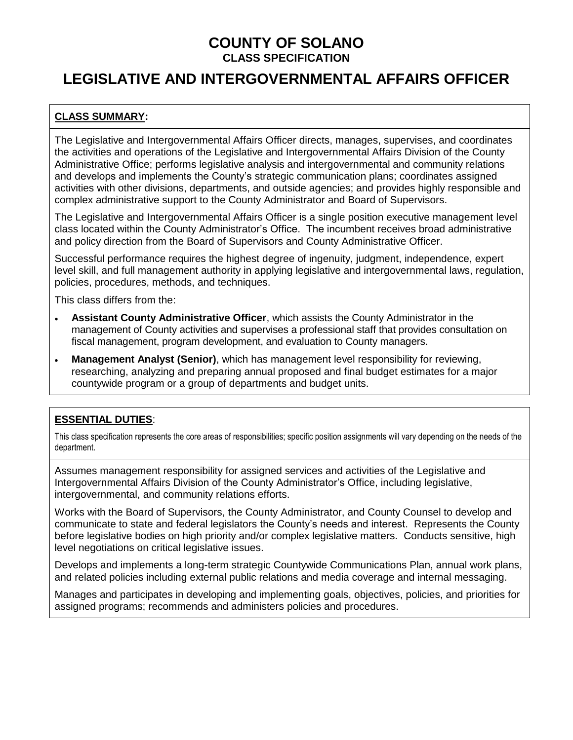## **LEGISLATIVE AND INTERGOVERNMENTAL AFFAIRS OFFICER**

### **CLASS SUMMARY:**

The Legislative and Intergovernmental Affairs Officer directs, manages, supervises, and coordinates the activities and operations of the Legislative and Intergovernmental Affairs Division of the County Administrative Office; performs legislative analysis and intergovernmental and community relations and develops and implements the County's strategic communication plans; coordinates assigned activities with other divisions, departments, and outside agencies; and provides highly responsible and complex administrative support to the County Administrator and Board of Supervisors.

The Legislative and Intergovernmental Affairs Officer is a single position executive management level class located within the County Administrator's Office. The incumbent receives broad administrative and policy direction from the Board of Supervisors and County Administrative Officer.

Successful performance requires the highest degree of ingenuity, judgment, independence, expert level skill, and full management authority in applying legislative and intergovernmental laws, regulation, policies, procedures, methods, and techniques.

This class differs from the:

- **Assistant County Administrative Officer**, which assists the County Administrator in the management of County activities and supervises a professional staff that provides consultation on fiscal management, program development, and evaluation to County managers.
- **Management Analyst (Senior)**, which has management level responsibility for reviewing, researching, analyzing and preparing annual proposed and final budget estimates for a major countywide program or a group of departments and budget units.

### **ESSENTIAL DUTIES**:

This class specification represents the core areas of responsibilities; specific position assignments will vary depending on the needs of the department.

Assumes management responsibility for assigned services and activities of the Legislative and Intergovernmental Affairs Division of the County Administrator's Office, including legislative, intergovernmental, and community relations efforts.

Works with the Board of Supervisors, the County Administrator, and County Counsel to develop and communicate to state and federal legislators the County's needs and interest. Represents the County before legislative bodies on high priority and/or complex legislative matters. Conducts sensitive, high level negotiations on critical legislative issues.

Develops and implements a long-term strategic Countywide Communications Plan, annual work plans, and related policies including external public relations and media coverage and internal messaging.

Manages and participates in developing and implementing goals, objectives, policies, and priorities for assigned programs; recommends and administers policies and procedures.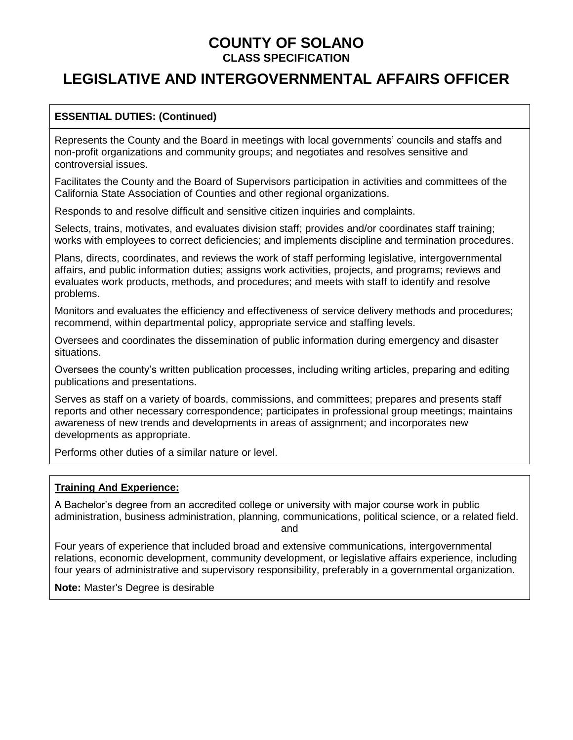## **LEGISLATIVE AND INTERGOVERNMENTAL AFFAIRS OFFICER**

#### **ESSENTIAL DUTIES: (Continued)**

Represents the County and the Board in meetings with local governments' councils and staffs and non-profit organizations and community groups; and negotiates and resolves sensitive and controversial issues.

Facilitates the County and the Board of Supervisors participation in activities and committees of the California State Association of Counties and other regional organizations.

Responds to and resolve difficult and sensitive citizen inquiries and complaints.

Selects, trains, motivates, and evaluates division staff; provides and/or coordinates staff training; works with employees to correct deficiencies; and implements discipline and termination procedures.

Plans, directs, coordinates, and reviews the work of staff performing legislative, intergovernmental affairs, and public information duties; assigns work activities, projects, and programs; reviews and evaluates work products, methods, and procedures; and meets with staff to identify and resolve problems.

Monitors and evaluates the efficiency and effectiveness of service delivery methods and procedures; recommend, within departmental policy, appropriate service and staffing levels.

Oversees and coordinates the dissemination of public information during emergency and disaster situations.

Oversees the county's written publication processes, including writing articles, preparing and editing publications and presentations.

Serves as staff on a variety of boards, commissions, and committees; prepares and presents staff reports and other necessary correspondence; participates in professional group meetings; maintains awareness of new trends and developments in areas of assignment; and incorporates new developments as appropriate.

Performs other duties of a similar nature or level.

#### **Training And Experience:**

A Bachelor's degree from an accredited college or university with major course work in public administration, business administration, planning, communications, political science, or a related field.

and

Four years of experience that included broad and extensive communications, intergovernmental relations, economic development, community development, or legislative affairs experience, including four years of administrative and supervisory responsibility, preferably in a governmental organization.

**Note:** Master's Degree is desirable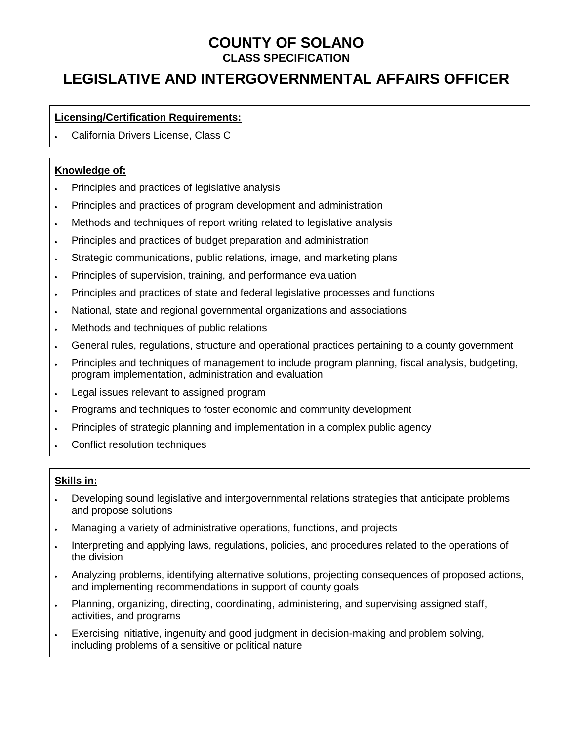# **LEGISLATIVE AND INTERGOVERNMENTAL AFFAIRS OFFICER**

#### **Licensing/Certification Requirements:**

• California Drivers License, Class C

#### **Knowledge of:**

- Principles and practices of legislative analysis
- Principles and practices of program development and administration
- Methods and techniques of report writing related to legislative analysis
- Principles and practices of budget preparation and administration
- Strategic communications, public relations, image, and marketing plans
- Principles of supervision, training, and performance evaluation
- Principles and practices of state and federal legislative processes and functions
- National, state and regional governmental organizations and associations
- Methods and techniques of public relations
- General rules, regulations, structure and operational practices pertaining to a county government
- Principles and techniques of management to include program planning, fiscal analysis, budgeting, program implementation, administration and evaluation
- Legal issues relevant to assigned program
- Programs and techniques to foster economic and community development
- Principles of strategic planning and implementation in a complex public agency
- Conflict resolution techniques

#### **Skills in:**

- Developing sound legislative and intergovernmental relations strategies that anticipate problems and propose solutions
- Managing a variety of administrative operations, functions, and projects
- Interpreting and applying laws, regulations, policies, and procedures related to the operations of the division
- Analyzing problems, identifying alternative solutions, projecting consequences of proposed actions, and implementing recommendations in support of county goals
- Planning, organizing, directing, coordinating, administering, and supervising assigned staff, activities, and programs
- Exercising initiative, ingenuity and good judgment in decision-making and problem solving, including problems of a sensitive or political nature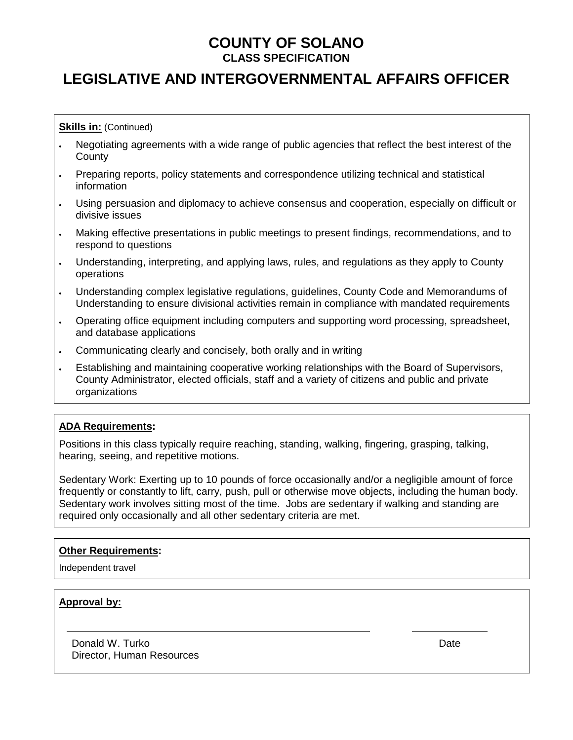## **LEGISLATIVE AND INTERGOVERNMENTAL AFFAIRS OFFICER**

**Skills in: (Continued)** 

- Negotiating agreements with a wide range of public agencies that reflect the best interest of the **County**
- Preparing reports, policy statements and correspondence utilizing technical and statistical information
- Using persuasion and diplomacy to achieve consensus and cooperation, especially on difficult or divisive issues
- Making effective presentations in public meetings to present findings, recommendations, and to respond to questions
- Understanding, interpreting, and applying laws, rules, and regulations as they apply to County operations
- Understanding complex legislative regulations, guidelines, County Code and Memorandums of Understanding to ensure divisional activities remain in compliance with mandated requirements
- Operating office equipment including computers and supporting word processing, spreadsheet, and database applications
- Communicating clearly and concisely, both orally and in writing
- Establishing and maintaining cooperative working relationships with the Board of Supervisors, County Administrator, elected officials, staff and a variety of citizens and public and private organizations

### **ADA Requirements:**

Positions in this class typically require reaching, standing, walking, fingering, grasping, talking, hearing, seeing, and repetitive motions.

Sedentary Work: Exerting up to 10 pounds of force occasionally and/or a negligible amount of force frequently or constantly to lift, carry, push, pull or otherwise move objects, including the human body. Sedentary work involves sitting most of the time. Jobs are sedentary if walking and standing are required only occasionally and all other sedentary criteria are met.

#### **Other Requirements:**

Independent travel

#### **Approval by:**

Donald W. Turko Director, Human Resources Date